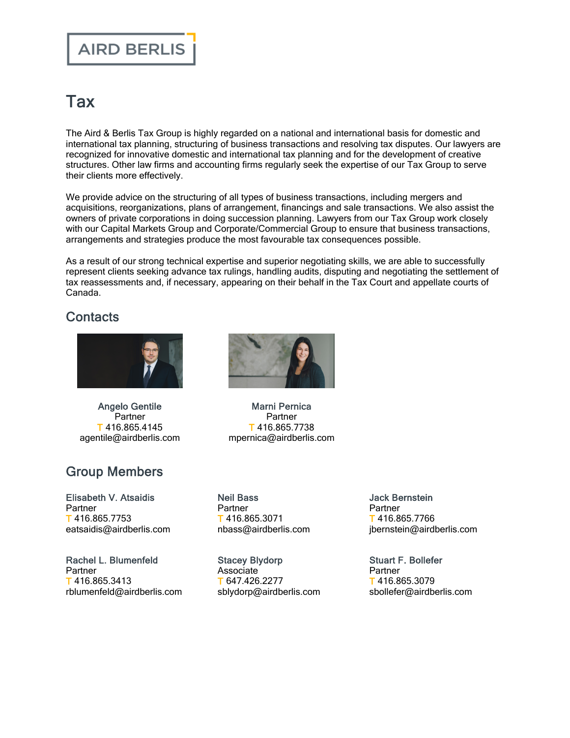## Tax

The Aird & Berlis Tax Group is highly regarded on a national and international basis for domestic and international tax planning, structuring of business transactions and resolving tax disputes. Our lawyers are recognized for innovative domestic and international tax planning and for the development of creative structures. Other law firms and accounting firms regularly seek the expertise of our Tax Group to serve their clients more effectively.

We provide advice on the structuring of all types of business transactions, including mergers and acquisitions, reorganizations, plans of arrangement, financings and sale transactions. We also assist the owners of private corporations in doing succession planning. Lawyers from our Tax Group work closely with our Capital Markets Group and Corporate/Commercial Group to ensure that business transactions, arrangements and strategies produce the most favourable tax consequences possible.

As a result of our strong technical expertise and superior negotiating skills, we are able to successfully represent clients seeking advance tax rulings, handling audits, disputing and negotiating the settlement of tax reassessments and, if necessary, appearing on their behalf in the Tax Court and appellate courts of Canada.

## **Contacts**



Angelo [Gentile](https://www.airdberlis.com/people/bio/angelo-gentile) Partner T 416.865.4145 agentile@airdberlis.com

## Group Members

[Elisabeth](https://www.airdberlis.com/people/bio/elisabeth-atsaidis) V. Atsaidis **Partner** T 416.865.7753 eatsaidis@airdberlis.com

Rachel L. [Blumenfeld](https://www.airdberlis.com/people/bio/rachel-blumenfeld) **Partner** T 416.865.3413 rblumenfeld@airdberlis.com



Marni [Pernica](https://www.airdberlis.com/people/bio/marni-pernica) Partner T 416.865.7738 mpernica@airdberlis.com

Neil [Bass](https://www.airdberlis.com/people/bio/neil-bass) **Partner** T 416.865.3071 nbass@airdberlis.com

Stacey [Blydorp](https://www.airdberlis.com/people/bio/stacey-blydorp) Associate T 647.426.2277 sblydorp@airdberlis.com Jack [Bernstein](https://www.airdberlis.com/people/bio/jack-bernstein) Partner T 416.865.7766 jbernstein@airdberlis.com

Stuart F. [Bollefer](https://www.airdberlis.com/people/bio/stuart-f-bollefer) **Partner** T 416.865.3079 sbollefer@airdberlis.com